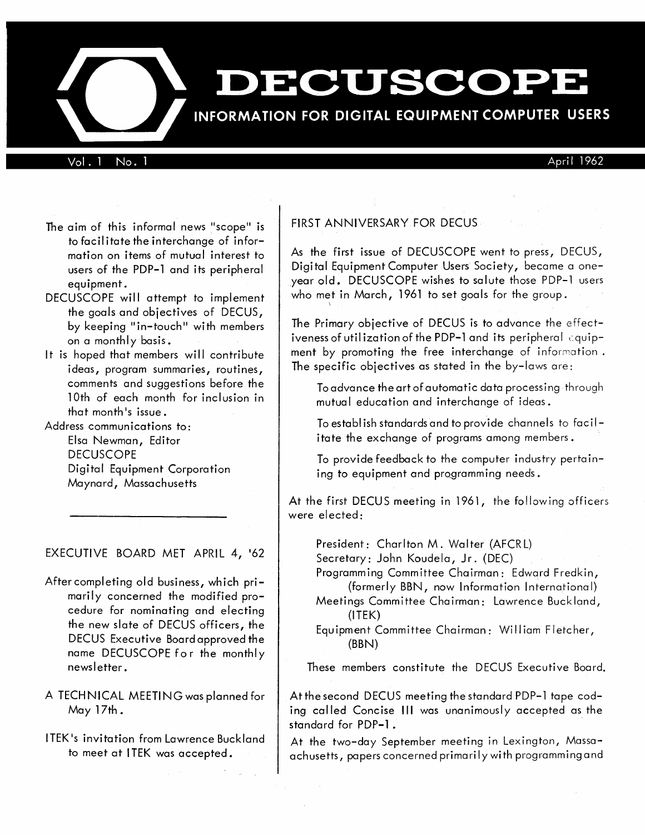# DECUSCOPE

# INFORMATION FOR DIGITAL EQUIPMENT COMPUTER USERS

Vol. 1 No. 1  $\mu$ 

- The aim of this informal news "scope" is to facil itate the interchange of information on items of mutual interest to users of the PDP-l and its peripheral equipment.
- DECUSCOPE will attempt to implement the goals and objectives of DECUS, by keeping "in-touch" with members on a monthly basis.
- It is hoped that members will contribute ideas, program summaries, routines, comments and suggestions before the 10th of each month for inclusion in that month's issue.

Address communications to: Elsa Newman, Editor **DECUSCOPE** Digital Equipment Corporation Maynard, Massachusetts

# EXECUTIVE BOARD MET APRIL 4, '62

After completing old business, which primarily concerned the modified procedure for nominating and electing the new slate of DECUS officers, the DECUS Executive Board approved the name DECUSCOPE for the monthly newsletter.

A TECHNICAL MEETING was planned for May 17th.

ITEK's invitation from Lawrence Buckland to meet at ITEK was accepted.

# FIRST ANNIVERSARY FOR DECUS

As the first issue of DECUSCOPE went to press, DECUS, Digital Equipment Computer Users Society, became a oneyear old. DECUSCOPE wishes to salute those PDP-l users who met in March, 1961 to set goals for the group.

The Primary objective of DECUS is to advance the effectiveness of utilization of the PDP-1 and its peripheral  $\epsilon$ quipment by promoting the free interchange of information. The specific objectives as stated in the by-laws are:

To advance the art of automatic data processing through mutual education and interchange of ideas.

To establish standards and to provide channels to facilitate the exchange of programs among members.

To provide feedback to the computer industry pertaining to equipment and programming needs.

At the first DECUS meeting in 1961, the following officers were elected:

President: Charlton M. Walter (AFCRL) Secretary: John Koudela, Jr. (DEC)

Programming Committee Chairman: Edward Fredkin, (formerly BBN, now Information International)

Meetings Committee Chairman: Lawrence Buckland, (lTEK)

Equipment Committee Chairman: William Fletcher, (BBN)

These members constitute the DECUS Executive Board.

At the second DECUS meeting the standard PDP-1 tape coding called Concise III was unanimously accepted as the standard for PDP-1.

At the two-day September meeting in Lexington, Massaachusetts, papers concerned primari I y with programming and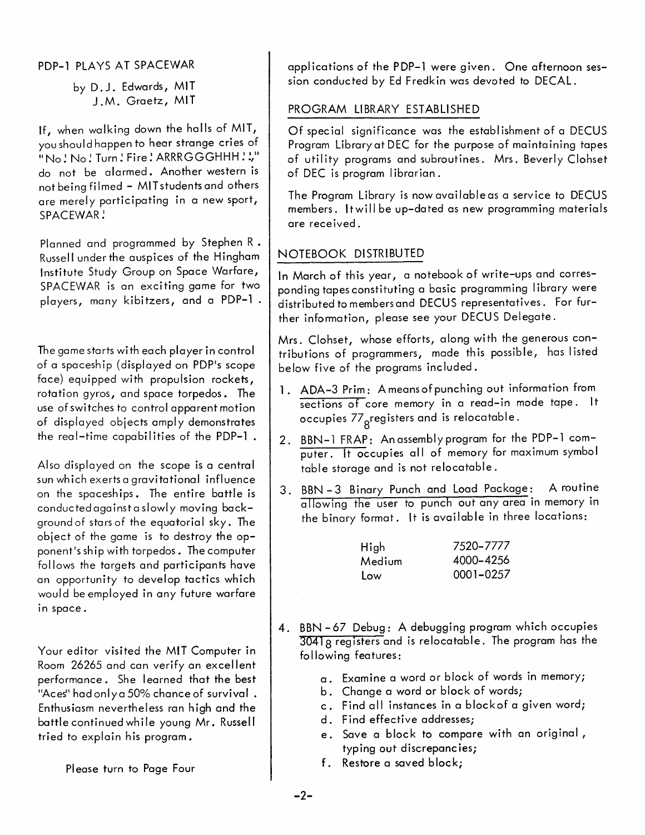PDP-1 PLAYS AT SPACEWAR

by D.J. Edwards, MIT J.M. Graetz, MIT

If, when walking down the halls of MIT, youshouldhappen to hear strange cries of  $\sim$   $\sim$  No  $\cdot$  Turn  $\cdot$  Fire  $\cdot$  ARRRGGGHHH $\cdot \cdot \cdot$ do not be alarmed. Another western is not being filmed - MITstudentsand others are merely participating in a new sport, SPACEWAR!

Planned and programmed by Stephen R • Russell under the auspices of the Hingham Institute Study Group on Space Warfare, SPACEWAR is an exciting game for two players, many kibitzers, and a PDP-1.

The game starts with each player in control of a spacesh ip (displayed on PDP's scope face) equipped with propulsion rockets, rotation gyros, and space torpedos. The use of swi tches to control apparent motion of displayed objects amply demonstrates the real-time capabilities of the PDP-1.

Also displayed on the scope is a central sun which exerts a gravitational influence on the spaceships. The entire battle is conductedagainsta slowly moving background of stars of the equatorial sky. The object of the game is to destroy the opponent's ship with torpedos. The computer follows the targets and participants have an opportunity to develop tactics which would be employed in any future warfare in space.

Your editor visited the MIT Computer in Room 26265 and can verify an excellent performance. She learned that the best "Aces" had only a 50% chance of survival. Enthusiasm nevertheless ran high and the battle continued while young Mr. Russell tried to explain his program.

Please turn to Page Four

appl ications of the P DP-l were given. One afternoon session conducted by Ed Fredkin was devoted to DECAL.

# PROGRAM LIBRARY ESTABLISHED

Of special significance was the establishment of a DECUS Program Library at DEC for the purpose of maintaining tapes of utility programs and subroutines. Mrs. Beverly Clohset of DEC is program librarian.

The Program Library is now available as a service to DECUS members. It will be up-dated as new programming materials are rece ived.

# NOTEBOOK DISTRIBUTED

In March of this year, a notebook of write-ups and corresponding tapes constituting a basic programming I ibrary were distributed to members and DECUS representatives. For further information, please see your DECUS Delegate.

Mrs. Clohset, whose efforts, along wi th the generous contributions of programmers, made this possible, has listed below five of the programs included.

- 1. ADA-3 Prim: A means of punching out information from sections of core memory in a read-in mode tape. It occupies 77<sub>g</sub>registers and is relocatable.
- 2. BBN-l FRAP: An assembly program for the PDP-l computer. It occupies all of memory for maximum symbol table storage and is not relocatable.
- 3. BBN 3 Binary Punch and Load Package: A routine allowing the user to punch out any area in memory in the binary format. It is available in three locations:

| High   | 7520-7777 |
|--------|-----------|
| Medium | 4000-4256 |
| Low    | 0001-0257 |

- 4. BBN 67 Debug: A debugging program which occupies  $3041<sub>8</sub>$  registers and is relocatable. The program has the following features:
	- a. Examine a word or block of words in memory;
	- b. Change a word or block of words;
	- c. Find all instances in a blockof a given word;
	- d. Find effective addresses;
	- e. Save a block to compare with an original, typing out discrepancies;
	- f. Restore a saved block;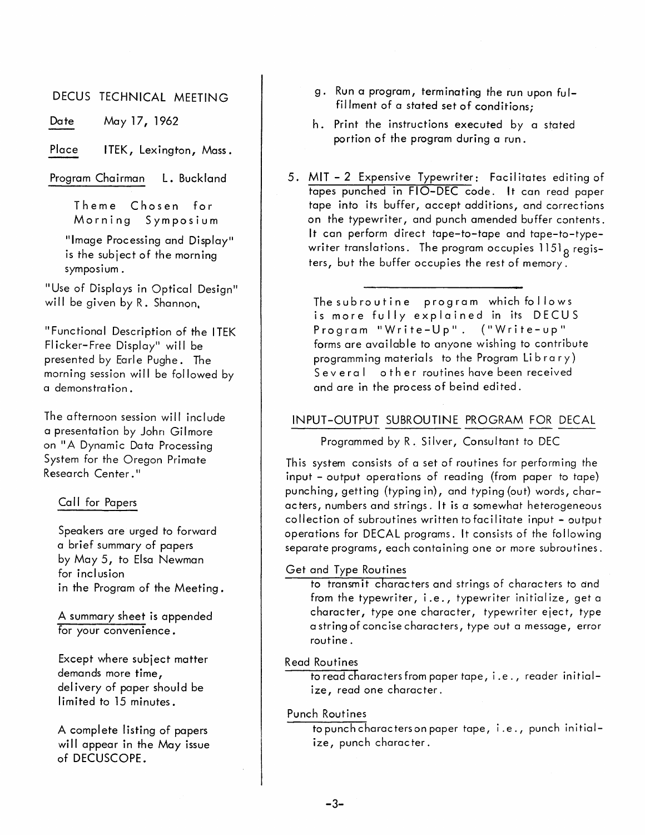DECUS TECHNICAL MEETING

Date May 17, 1962

Place ITEK, Lexington, Mass.

Program Chairman L. Buckland

Theme Chosen for Morning Symposium

"Image Processing and Display" is the subject of the morning symposium.

"Use of Displays in Optical Design" will be given by R. Shannon.

"Functional Description of the ITEK FI icker-Free Display" will be presented by Earle Pughe. The morning session will be followed by a demonstration.

The afternoon session will include a presentation by John Gilmore on "A Dynamic Data Processing System for the Oregon Primate Research Center."

## Call for Papers

Speakers are urged to forward a brief summary of papers by May 5, to Elsa Newman for inclusion in the Program of the Meeting.

A summary sheet is appended for your convenience.

Except where subject matter demands more time, delivery of paper should be limited to 15 minutes.

A complete listing of papers will appear in the May issue of DECUSCOPE.

- g. Run a program, terminating the run upon fulfillment of a stated set of conditions;
- h. Print the instructions executed by a stated portion of the program during a run.
- 5. MIT 2 Expensive Typewriter: Facilitates editing of tapes punched in FIO-DEC code. It can read paper tape into its buffer, accept additions, and corrections on the typewriter, and punch amended buffer contents. It can perform direct tape-to-tape and tape-to-typewriter translations. The program occupies  $1151<sub>g</sub>$  registers, but the buffer occupies the rest of memory.

The subroutine program which fo Ilows is more fully explained in its DECUS Program "Write-Up". ("Write-up" forms are available to anyone wishing to contribute programming materials to the Program Library) Several other routines have been received and are in the process of beind edited.

# INPUT-OUTPUT SUBROUTINE PROGRAM FOR DECAL

Programmed by R. Silver, Consultant to DEC

This system consists of a set of routines for performing the input - output operations of reading (from paper to tape) punching, getting (typing in), and typing (out) words, characters, numbers and strings. It is a somewhat heterogeneous collection of subroutines written tofacilitate input - output operations for DECAL programs. It consists of the following separate programs, each containing one or more subroutines.

## Get and Type Routines

to transmit characters and strings of characters to and from the typewriter, i.e., typewriter initialize, geta character, type one character, typewriter eject, type a string of concise characters, type out a message, error routine.

Read Routines

to read characters from paper tape, i.e., reader initialize, read one character.

## Punch Routines

to punch characters on paper tape, i.e., punch initialize, punch character.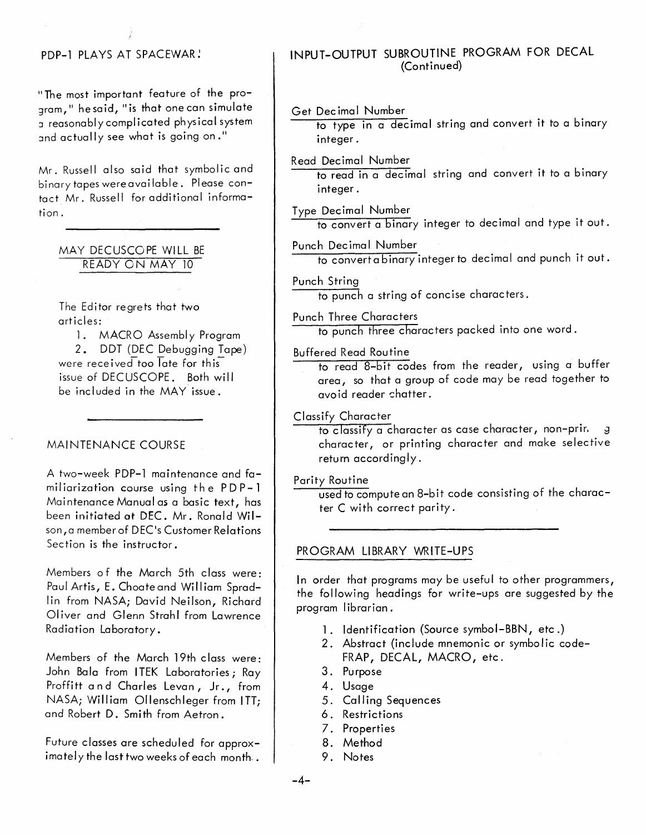# PDP-1 PLAYS AT SPACEWAR!

"The most important feature of the proaram," he said, "is that one can simulate I reasonably complicated physical system and actually see what is going on."

Mr. Russell also said that symbolic and binary tapes wereavailable. Please contact Mr. Russell for additional information.

# MAY DECUSCOPE WILL BE READY ON MAY 10

The Editor regrets that two articles:

1. MACRO Assembly Program 2. DDT (DEC Debugging Tape) were received too  $\overline{\mathsf{I}}$  ate for this issue of DECUSCOPE. Both will be included in the MAY issue.

## MAINTENANCE COURSE

A two-week PDP-l maintenance and familiarization course using the  $PDP-1$ Maintenance Manual *as* a basic text, has been initiated at DEC. Mr. Ronald Wilson,a memberof DEC's Customer Relations Section is the instructor.

Members of the March 5th class were: Paul Artis, E. Choate and William Spradlin from NASA; David Neilson, Richard Oliver and Glenn Strahl from Lawrence Radiation Laboratory.

Members of the March 19th class were: John Bala from I TEK Laboratories; Ray Proffitt and Charles Levan, Jr., from NASA; William Ollenschleger from ITT; and Robert D. Smith from Aetron.

Future classes are scheduled for approximately the last two weeks of each month..

# INPUT-OUTPUT SUBROUTINE PROGRAM FOR DECAL (Continued)

## Get Decimal Number

to type in a decimal string and convert it to a binary integer.

# Read Dec imal Number

to read in a decimal string and convert it to a binary integer.

# Type Decimal Number

to convert a binary integer to decimal and type it out.

#### Punch Decimal Number

to convertabinary integer to decimal and punch it out.

#### Punch String

to punch a string of concise characters.

#### Punch Three Characters

to punch three characters packed into one word.

#### Buffered Read Routine

to read 8-bit codes from the reader, using a buffer area, so that a group of code may be read together to avoid reader chatter.

# Classify Character

to classify a character as case character, non-prin. 3 character, or printing character and make selective return accordingly.

#### Parity Routine

used to compute an 8-bit code consisting of the character C with correct parity.

# PROGRAM LIBRARY WRITE-UPS

In order that programs may be useful to other programmers, the following headings for write-ups are suggested by the program librarian.

- 1. Identification (Source symbol-BBN, etc.)
- 2. Abstract (include mnemonic or symbolic code-FRAP, DECAL, MACRO, etc.
- 3. Purpose
- 4. Usage
- 5. Calling Sequences
- 6. Restrictions
- 7. Properties
- 8. Method
- 9. Notes